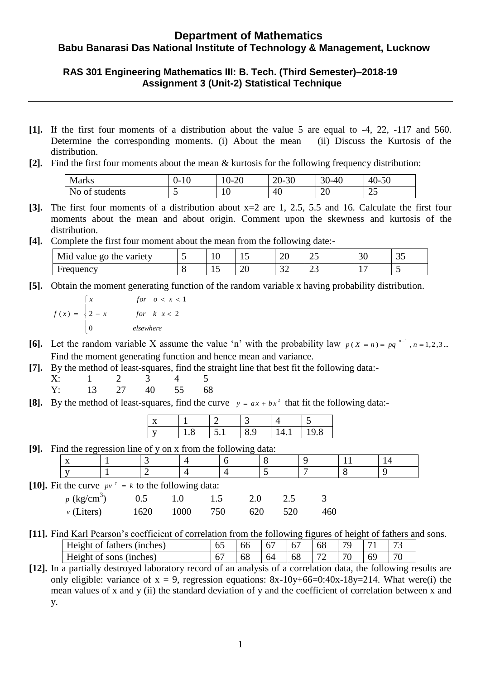## **RAS 301 Engineering Mathematics III: B. Tech. (Third Semester)–2018-19 Assignment 3 (Unit-2) Statistical Technique**

- **[1].** If the first four moments of a distribution about the value 5 are equal to -4, 22, -117 and 560. Determine the corresponding moments. (i) About the mean (ii) Discuss the Kurtosis of the distribution.
- **[2].** Find the first four moments about the mean & kurtosis for the following frequency distribution:

| Marks                 | J-<br>1 V | .20<br>$\sim$ U- | 30<br>ററ<br>$\angle U$ -1 | 30<br>$-40$<br>. . | $\sim$<br>40<br>-50<br>. . |
|-----------------------|-----------|------------------|---------------------------|--------------------|----------------------------|
| No.<br>students<br>ΟÌ | ີ         | ΙV               | 40                        | $\cap$<br>ZU       | $\sim$<br>ت                |

- **[3].** The first four moments of a distribution about x=2 are 1, 2.5, 5.5 and 16. Calculate the first four moments about the mean and about origin. Comment upon the skewness and kurtosis of the distribution.
- **[4].** Complete the first four moment about the mean from the following date:-

| Mid<br>variety<br>value go<br>the | $\sqrt{2}$<br>ΙV | . .<br>∸       | oc<br>∠∪        | $\cap$<br>ب∠    | $\Omega$<br>υU | $\sim$ $\sim$<br>ັບ |
|-----------------------------------|------------------|----------------|-----------------|-----------------|----------------|---------------------|
| iuency                            |                  | $\Omega$<br>∠∪ | $\Omega$<br>ے ب | $\bigcap$<br>رے | $\overline{ }$ |                     |

**[5].** Obtain the moment generating function of the random variable x having probability distribution.

$$
f(x) = \begin{cases} x & \text{for } 0 < x < 1 \\ 2 - x & \text{for } k \le 2 \\ 0 & \text{elsewhere} \end{cases}
$$

- **[6].** Let the random variable X assume the value 'n' with the probability law  $p(X = n) = pq^{n-1}, n = 1,2,3...$ Find the moment generating function and hence mean and variance.
- **[7].** By the method of least-squares, find the straight line that best fit the following data:-

| X: |       |       |    |
|----|-------|-------|----|
| Y: | 13 27 | 40 55 | 68 |

[8]. By the method of least-squares, find the curve  $y = ax + bx^2$  that fit the following data:-

|  | $\overline{\phantom{0}}$ |  | 19.8 |
|--|--------------------------|--|------|

**[9].** Find the regression line of y on x from the following data:

|                                                              | ີ                         |  |      |      | $\overline{\phantom{0}}$ |     |  |     |  |
|--------------------------------------------------------------|---------------------------|--|------|------|--------------------------|-----|--|-----|--|
|                                                              | X                         |  |      |      |                          |     |  |     |  |
|                                                              |                           |  |      |      |                          |     |  |     |  |
| [10]. Fit the curve $pv^{\gamma} = k$ to the following data: |                           |  |      |      |                          |     |  |     |  |
|                                                              | $p$ (kg/cm <sup>3</sup> ) |  | 0.5  |      | 2.0                      | 2.5 |  |     |  |
|                                                              | $\nu$ (Liters)            |  | 1620 | 1000 | 750<br>620               | 520 |  | 460 |  |

**[11].** Find Karl Pearson's coefficient of correlation from the following figures of height of fathers and sons.

| $\mathbf{r}$<br>inches<br>-tather<br>Hei<br>ி | $\sim$<br>v. | bb        | $\sim$<br>v, | $\sqrt{2}$<br>Ω. | $\sim$ $\sim$<br>σŏ | 70              | $\overline{ }$ | $\sqrt{2}$<br>$\sim$ |
|-----------------------------------------------|--------------|-----------|--------------|------------------|---------------------|-----------------|----------------|----------------------|
| Height<br>(1nches)<br>sons                    |              | ہ ہ<br>oc | 64           | ხბ               | $\sim$              | $\sqrt{2}$<br>ν | $-64$          | $\overline{u}$       |

**[12].** In a partially destroyed laboratory record of an analysis of a correlation data, the following results are only eligible: variance of  $x = 9$ , regression equations:  $8x-10y+66=0:40x-18y=214$ . What were(i) the mean values of x and y (ii) the standard deviation of y and the coefficient of correlation between x and y.